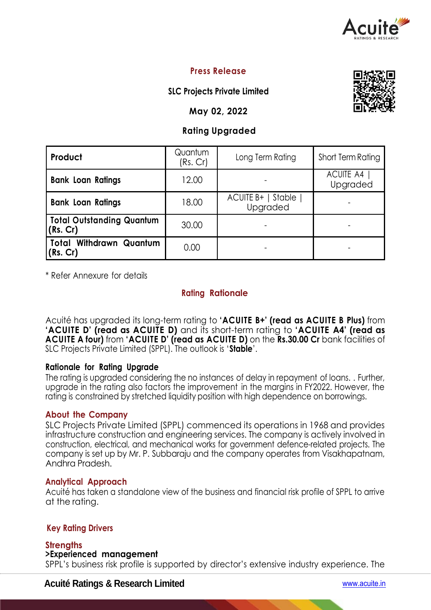

## **Press Release**

## **SLC Projects Private Limited**

## **May 02, 2022**

# **Rating Upgraded**

| Product                                      | Quantum<br>(Rs. Cr) | Long Term Rating                 | Short Term Rating            |  |
|----------------------------------------------|---------------------|----------------------------------|------------------------------|--|
| <b>Bank Loan Ratings</b>                     | 12.00               |                                  | <b>ACUITE A4</b><br>Upgraded |  |
| <b>Bank Loan Ratings</b>                     | 18.00               | ACUITE B+   Stable  <br>Upgraded |                              |  |
| <b>Total Outstanding Quantum</b><br>(Rs, Cr) | 30.00               |                                  |                              |  |
| <b>Total Withdrawn Quantum</b><br>(Rs. Cr)   | 0.00                |                                  |                              |  |

\* Refer Annexure for details

## **Rating Rationale**

Acuité has upgraded its long-term rating to **'ACUITE B+' (read as ACUITE B Plus)** from **'ACUITE D' (read as ACUITE D)** and its short-term rating to **'ACUITE A4' (read as ACUITE A four)** from **'ACUITE D' (read as ACUITE D)** on the **Rs.30.00 Cr** bank facilities of SLC Projects Private Limited (SPPL). The outlook is '**Stable**'.

## **Rationale for Rating Upgrade**

The rating is upgraded considering the no instances of delay in repayment of loans. . Further, upgrade in the rating also factors the improvement in the margins in FY2022. However, the rating is constrained by stretched liquidity position with high dependence on borrowings.

#### **About the Company**

SLC Projects Private Limited (SPPL) commenced its operations in 1968 and provides infrastructure construction and engineering services. The company is actively involved in construction, electrical, and mechanical works for government defence-related projects. The company is set up by Mr. P. Subbaraju and the company operates from Visakhapatnam, Andhra Pradesh.

#### **Analytical Approach**

Acuité has taken a standalone view of the business and financial risk profile of SPPL to arrive at the rating.

## **Key Rating Drivers**

#### **Strengths >Experienced management**

SPPL's business risk profile is supported by director's extensive industry experience. The

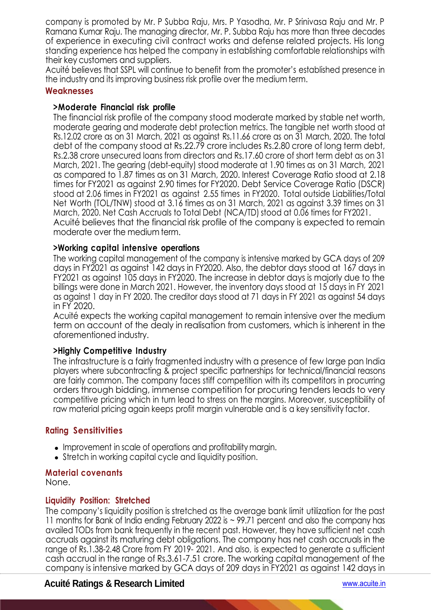company is promoted by Mr. P Subba Raju, Mrs. P Yasodha, Mr. P Srinivasa Raju and Mr. P Ramana Kumar Raju. The managing director, Mr. P. Subba Raju has more than three decades of experience in executing civil contract works and defense related projects. His long standing experience has helped the company in establishing comfortable relationships with their key customers and suppliers.

Acuité believes that SSPL will continue to benefit from the promoter's established presence in the industry and its improving business risk profile over the medium term.

## **Weaknesses**

## **>Moderate Financial risk profile**

The financial risk profile of the company stood moderate marked by stable net worth, moderate gearing and moderate debt protection metrics. The tangible net worth stood at Rs.12.02 crore as on 31 March, 2021 as against Rs.11.66 crore as on 31 March, 2020. The total debt of the company stood at Rs.22.79 crore includes Rs.2.80 crore of long term debt, Rs.2.38 crore unsecured loans from directors and Rs.17.60 crore of short term debt as on 31 March, 2021. The gearing (debt-equity) stood moderate at 1.90 times as on 31 March, 2021 as compared to 1.87 times as on 31 March, 2020. Interest Coverage Ratio stood at 2.18 times for FY2021 as against 2.90 times for FY2020. Debt Service Coverage Ratio (DSCR) stood at 2.06 times in FY2021 as against 2.55 times in FY2020. Total outside Liabilities/Total Net Worth (TOL/TNW) stood at 3.16 times as on 31 March, 2021 as against 3.39 times on 31 March, 2020. Net Cash Accruals to Total Debt (NCA/TD) stood at 0.06 times for FY2021. Acuité believes that the financial risk profile of the company is expected to remain moderate over the medium term.

### **>Working capital intensive operations**

The working capital management of the company is intensive marked by GCA days of 209 days in FY2021 as against 142 days in FY2020. Also, the debtor days stood at 167 days in FY2021 as against 105 days in FY2020. The increase in debtor days is majorly due to the billings were done in March 2021. However, the inventory days stood at 15 days in FY 2021 as against 1 day in FY 2020. The creditor days stood at 71 days in FY 2021 as against 54 days in FY 2020.

Acuité expects the working capital management to remain intensive over the medium term on account of the dealy in realisation from customers, which is inherent in the aforementioned industry.

#### **>Highly Competitive Industry**

The infrastructure is a fairly fragmented industry with a presence of few large pan India players where subcontracting & project specific partnerships for technical/financial reasons are fairly common. The company faces stiff competition with its competitors in procurring orders through bidding, immense competition for procuring tenders leads to very competitive pricing which in turn lead to stress on the margins. Moreover, susceptibility of raw material pricing again keeps profit margin vulnerable and is a key sensitivity factor.

## **Rating Sensitivities**

- Improvement in scale of operations and profitability margin.
- Stretch in working capital cycle and liquidity position.

#### **Material covenants**

None.

## **Liquidity Position: Stretched**

The company's liquidity position is stretched as the average bank limit utilization for the past 11 months for Bank of India ending February 2022 is ~ 99.71 percent and also the company has availed TODs from bank frequently in the recent past. However, they have sufficient net cash accruals against its maturing debt obligations. The company has net cash accruals in the range of Rs.1.38-2.48 Crore from FY 2019- 2021. And also, is expected to generate a sufficient cash accrual in the range of Rs.3.61-7.51 crore. The working capital management of the company is intensive marked by GCA days of 209 days in FY2021 as against 142 days in

## **Acuité Ratings & Research Limited** www.acuite.in

 $\overline{\phantom{0}}$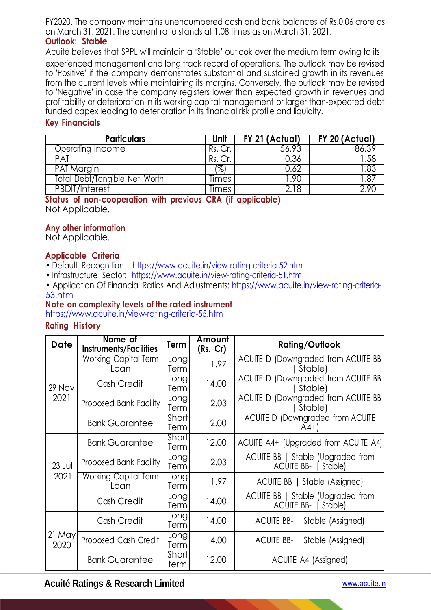FY2020. The company maintains unencumbered cash and bank balances of Rs.0.06 crore as on March 31, 2021. The current ratio stands at 1.08 times as on March 31, 2021. **Outlook: Stable**

Acuité believes that SPPL will maintain a 'Stable' outlook over the medium term owing to its

experienced management and long track record of operations. The outlook may be revised to 'Positive' if the company demonstrates substantial and sustained growth in its revenues from the current levels while maintaining its margins. Conversely, the outlook may be revised to 'Negative' in case the company registers lower than expected growth in revenues and profitability or deterioration in its working capital management or larger than-expected debt funded capex leading to deterioration in its financial risk profile and liquidity.

## **Key Financials**

| <b>Particulars</b>            | Unit  | FY 21 (Actual) | FY 20 (Actual) |
|-------------------------------|-------|----------------|----------------|
| Operating Income              |       | 56.93          |                |
| PAT                           |       |                | .58            |
| PAT Margin                    | ′%,   |                | 83.            |
| Total Debt/Tangible Net Worth | limes | .90            |                |
| <b>PBDIT/Interest</b>         | limes |                |                |

#### **Status of non-cooperation with previous CRA (if applicable)**  Not Applicable.

## **Any other information**

Not Applicable.

### **Applicable Criteria**

- Default Recognition https://www.acuite.in/view-rating-criteria-52.htm
- Infrastructure Sector: https://www.acuite.in/view-rating-criteria-51.htm
- Application Of Financial Ratios And Adjustments: https://www.acuite.in/view-rating-criteria-53.htm

## **Note on complexity levels of the rated instrument**

https://www.acuite.in/view-rating-criteria-55.htm

## **Rating History**

| <b>Date</b>      | Name of<br><b>Instruments/Facilities</b> | Term                | Amount<br>(Rs. Cr) | <b>Rating/Outlook</b>                                              |
|------------------|------------------------------------------|---------------------|--------------------|--------------------------------------------------------------------|
| 29 Nov<br>2021   | <b>Working Capital Term</b><br>Loan      | <b>Long</b><br>Term | 1.97               | <b>ACUITE D (Downgraded from ACUITE BB</b><br>Stable)              |
|                  | Cash Credit                              | Long<br>Term        | 14.00              | <b>ACUITE D (Downgraded from ACUITE BB</b><br>Stable)              |
|                  | Proposed Bank Facility                   | Long<br>Term        | 2.03               | ACUITE D (Downgraded from ACUITE BB<br>Stable)                     |
|                  | <b>Bank Guarantee</b>                    | Short<br>Term       | 12.00              | <b>ACUITE D (Downgraded from ACUITE</b><br>$(A4+)$                 |
| $23$ Jul<br>2021 | <b>Bank Guarantee</b>                    | Short<br>Term       | 12.00              | ACUITE A4+ (Upgraded from ACUITE A4)                               |
|                  | Proposed Bank Facility                   | Long<br>Term        | 2.03               | ACUITE BB   Stable (Upgraded from<br><b>ACUITE BB-1</b><br>Stable) |
|                  | <b>Working Capital Term</b><br>Loan      | Long<br>Term        | 1.97               | ACUITE BB   Stable (Assigned)                                      |
|                  | Cash Credit                              | Long<br>Term        | 14.00              | ACUITE BB   Stable (Upgraded from<br>ACUITE BB-   Stable)          |
| 21 May<br>2020   | Cash Credit                              | Long<br>Term        | 14.00              | ACUITE BB-   Stable (Assigned)                                     |
|                  | Proposed Cash Credit                     | Long<br>Term        | 4.00               | ACUITE BB-   Stable (Assigned)                                     |
|                  | <b>Bank Guarantee</b>                    | Short<br>term       | 12.00              | ACUITE A4 (Assigned)                                               |

## **Acuité Ratings & Research Limited** www.acuite.in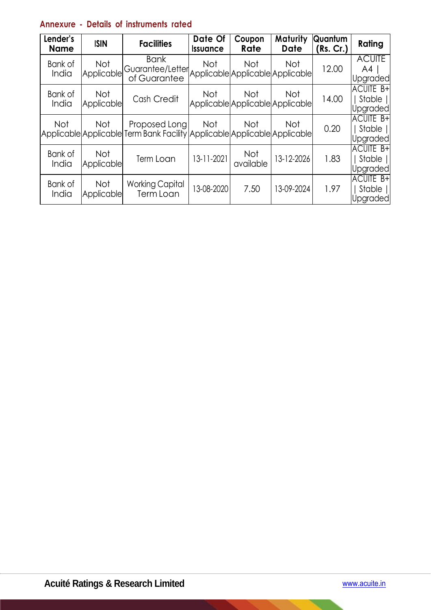# **Annexure - Details of instruments rated**

| Lender's<br><b>Name</b> | <b>ISIN</b>              | <b>Facilities</b>                                                                          | Date Of<br><b>Issuance</b> | Coupon<br><b>Rate</b>                          | Maturity<br><b>Date</b> | Quantum<br>(Rs. Cr.) | Rating                                    |
|-------------------------|--------------------------|--------------------------------------------------------------------------------------------|----------------------------|------------------------------------------------|-------------------------|----------------------|-------------------------------------------|
| Bank of<br>India        | Not<br>Applicable        | <b>Bank</b><br>Guarantee/Letter<br>of Guarantee                                            | <b>Not</b>                 | Not<br>Applicable Applicable Applicable        | <b>Not</b>              | 12.00                | <b>ACUITE</b><br>A4<br><b>Upgraded</b>    |
| Bank of<br>India        | Not<br>Applicable        | Cash Credit                                                                                | Not                        | <b>Not</b><br>Applicable Applicable Applicable | <b>Not</b>              | 14.00                | <b>ACUITE B+</b><br>Stable   <br>Upgraded |
| <b>Not</b>              | Not                      | Proposed Long<br>Applicable Applicable Term Bank Facility Applicable Applicable Applicable | Not                        | <b>Not</b>                                     | <b>Not</b>              | 0.20                 | <b>ACUITE B+</b><br>Stable   <br>Upgraded |
| Bank of<br>India        | <b>Not</b><br>Applicable | Term Loan                                                                                  | 13-11-2021                 | Not<br>available                               | 13-12-2026              | 1.83                 | <b>ACUITE B+</b><br>Stable   <br>Upgraded |
| Bank of<br>India        | Not<br><b>Applicable</b> | <b>Working Capital</b><br>Term Loan                                                        | 13-08-2020                 | 7.50                                           | 13-09-2024              | 1.97                 | <b>ACUITE B+</b><br>Stable   <br>Upgraded |